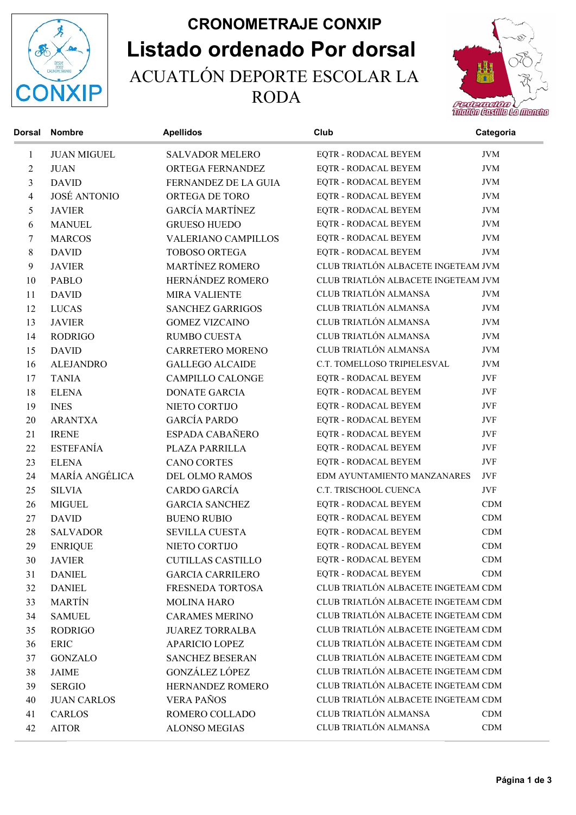

## Listado ordenado Por dorsal CRONOMETRAJE CONXIP ACUATLÓN DEPORTE ESCOLAR LA RODA



| <b>Dorsal</b> | <b>Nombre</b>       | <b>Apellidos</b>         | Club                                | Categoria  |
|---------------|---------------------|--------------------------|-------------------------------------|------------|
| 1             | <b>JUAN MIGUEL</b>  | <b>SALVADOR MELERO</b>   | EQTR - RODACAL BEYEM                | <b>JVM</b> |
| 2             | <b>JUAN</b>         | ORTEGA FERNANDEZ         | EQTR - RODACAL BEYEM                | <b>JVM</b> |
| 3             | <b>DAVID</b>        | FERNANDEZ DE LA GUIA     | EQTR - RODACAL BEYEM                | <b>JVM</b> |
| 4             | <b>JOSÉ ANTONIO</b> | ORTEGA DE TORO           | EQTR - RODACAL BEYEM                | <b>JVM</b> |
| 5             | <b>JAVIER</b>       | <b>GARCÍA MARTÍNEZ</b>   | EQTR - RODACAL BEYEM                | <b>JVM</b> |
| 6             | <b>MANUEL</b>       | <b>GRUESO HUEDO</b>      | EQTR - RODACAL BEYEM                | <b>JVM</b> |
| 7             | <b>MARCOS</b>       | VALERIANO CAMPILLOS      | EQTR - RODACAL BEYEM                | <b>JVM</b> |
| $8\,$         | <b>DAVID</b>        | <b>TOBOSO ORTEGA</b>     | EQTR - RODACAL BEYEM                | <b>JVM</b> |
| 9             | <b>JAVIER</b>       | <b>MARTÍNEZ ROMERO</b>   | CLUB TRIATLÓN ALBACETE INGETEAM JVM |            |
| 10            | <b>PABLO</b>        | HERNÁNDEZ ROMERO         | CLUB TRIATLÓN ALBACETE INGETEAM JVM |            |
| 11            | <b>DAVID</b>        | <b>MIRA VALIENTE</b>     | CLUB TRIATLÓN ALMANSA               | <b>JVM</b> |
| 12            | <b>LUCAS</b>        | <b>SANCHEZ GARRIGOS</b>  | CLUB TRIATLÓN ALMANSA               | <b>JVM</b> |
| 13            | <b>JAVIER</b>       | <b>GOMEZ VIZCAINO</b>    | CLUB TRIATLÓN ALMANSA               | <b>JVM</b> |
| 14            | <b>RODRIGO</b>      | <b>RUMBO CUESTA</b>      | CLUB TRIATLÓN ALMANSA               | <b>JVM</b> |
| 15            | <b>DAVID</b>        | <b>CARRETERO MORENO</b>  | CLUB TRIATLÓN ALMANSA               | <b>JVM</b> |
| 16            | <b>ALEJANDRO</b>    | <b>GALLEGO ALCAIDE</b>   | C.T. TOMELLOSO TRIPIELESVAL         | <b>JVM</b> |
| 17            | <b>TANIA</b>        | <b>CAMPILLO CALONGE</b>  | EQTR - RODACAL BEYEM                | JVF        |
| 18            | <b>ELENA</b>        | <b>DONATE GARCIA</b>     | EQTR - RODACAL BEYEM                | JVF        |
| 19            | <b>INES</b>         | NIETO CORTIJO            | EQTR - RODACAL BEYEM                | JVF        |
| 20            | <b>ARANTXA</b>      | <b>GARCÍA PARDO</b>      | EQTR - RODACAL BEYEM                | JVF        |
| 21            | <b>IRENE</b>        | ESPADA CABAÑERO          | EQTR - RODACAL BEYEM                | JVF        |
| 22            | <b>ESTEFANÍA</b>    | PLAZA PARRILLA           | EQTR - RODACAL BEYEM                | JVF        |
| 23            | <b>ELENA</b>        | <b>CANO CORTES</b>       | EQTR - RODACAL BEYEM                | JVF        |
| 24            | MARÍA ANGÉLICA      | DEL OLMO RAMOS           | EDM AYUNTAMIENTO MANZANARES         | JVF        |
| 25            | <b>SILVIA</b>       | CARDO GARCÍA             | C.T. TRISCHOOL CUENCA               | JVF        |
| 26            | <b>MIGUEL</b>       | <b>GARCIA SANCHEZ</b>    | EQTR - RODACAL BEYEM                | CDM        |
| 27            | <b>DAVID</b>        | <b>BUENO RUBIO</b>       | EQTR - RODACAL BEYEM                | CDM        |
| 28            | <b>SALVADOR</b>     | SEVILLA CUESTA           | EQTR - RODACAL BEYEM                | CDM        |
| 29            | <b>ENRIQUE</b>      | NIETO CORTIJO            | EQTR - RODACAL BEYEM                | CDM        |
| 30            | <b>JAVIER</b>       | <b>CUTILLAS CASTILLO</b> | EQTR - RODACAL BEYEM                | CDM        |
| 31            | <b>DANIEL</b>       | <b>GARCIA CARRILERO</b>  | EQTR - RODACAL BEYEM                | CDM        |
| 32            | <b>DANIEL</b>       | FRESNEDA TORTOSA         | CLUB TRIATLÓN ALBACETE INGETEAM CDM |            |
| 33            | <b>MARTÍN</b>       | <b>MOLINA HARO</b>       | CLUB TRIATLÓN ALBACETE INGETEAM CDM |            |
| 34            | <b>SAMUEL</b>       | <b>CARAMES MERINO</b>    | CLUB TRIATLÓN ALBACETE INGETEAM CDM |            |
| 35            | <b>RODRIGO</b>      | <b>JUAREZ TORRALBA</b>   | CLUB TRIATLÓN ALBACETE INGETEAM CDM |            |
| 36            | <b>ERIC</b>         | <b>APARICIO LOPEZ</b>    | CLUB TRIATLÓN ALBACETE INGETEAM CDM |            |
| 37            | <b>GONZALO</b>      | <b>SANCHEZ BESERAN</b>   | CLUB TRIATLÓN ALBACETE INGETEAM CDM |            |
| 38            | <b>JAIME</b>        | GONZÁLEZ LÓPEZ           | CLUB TRIATLÓN ALBACETE INGETEAM CDM |            |
| 39            | <b>SERGIO</b>       | HERNANDEZ ROMERO         | CLUB TRIATLÓN ALBACETE INGETEAM CDM |            |
| 40            | <b>JUAN CARLOS</b>  | <b>VERA PAÑOS</b>        | CLUB TRIATLÓN ALBACETE INGETEAM CDM |            |
| 41            | <b>CARLOS</b>       | ROMERO COLLADO           | CLUB TRIATLÓN ALMANSA               | CDM        |
| 42            | <b>AITOR</b>        | <b>ALONSO MEGIAS</b>     | CLUB TRIATLÓN ALMANSA               | CDM        |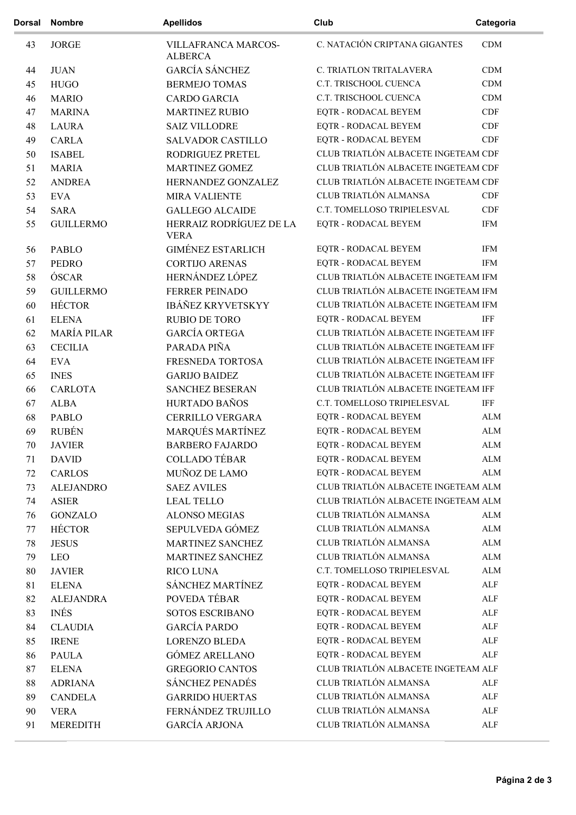| <b>Dorsal</b> | <b>Nombre</b>      | <b>Apellidos</b>                       | Club                                | Categoria    |
|---------------|--------------------|----------------------------------------|-------------------------------------|--------------|
| 43            | <b>JORGE</b>       | VILLAFRANCA MARCOS-<br><b>ALBERCA</b>  | C. NATACIÓN CRIPTANA GIGANTES       | CDM          |
| 44            | <b>JUAN</b>        | <b>GARCÍA SÁNCHEZ</b>                  | C. TRIATLON TRITALAVERA             | CDM          |
| 45            | <b>HUGO</b>        | <b>BERMEJO TOMAS</b>                   | C.T. TRISCHOOL CUENCA               | CDM          |
| 46            | <b>MARIO</b>       | <b>CARDO GARCIA</b>                    | C.T. TRISCHOOL CUENCA               | CDM          |
| 47            | <b>MARINA</b>      | <b>MARTINEZ RUBIO</b>                  | EQTR - RODACAL BEYEM                | CDF          |
| 48            | <b>LAURA</b>       | <b>SAIZ VILLODRE</b>                   | <b>EQTR - RODACAL BEYEM</b>         | CDF          |
| 49            | <b>CARLA</b>       | <b>SALVADOR CASTILLO</b>               | EQTR - RODACAL BEYEM                | CDF          |
| 50            | <b>ISABEL</b>      | RODRIGUEZ PRETEL                       | CLUB TRIATLÓN ALBACETE INGETEAM CDF |              |
| 51            | <b>MARIA</b>       | <b>MARTINEZ GOMEZ</b>                  | CLUB TRIATLÓN ALBACETE INGETEAM CDF |              |
| 52            | <b>ANDREA</b>      | HERNANDEZ GONZALEZ                     | CLUB TRIATLÓN ALBACETE INGETEAM CDF |              |
| 53            | <b>EVA</b>         | <b>MIRA VALIENTE</b>                   | CLUB TRIATLÓN ALMANSA               | CDF          |
| 54            | <b>SARA</b>        | <b>GALLEGO ALCAIDE</b>                 | C.T. TOMELLOSO TRIPIELESVAL         | CDF          |
| 55            | <b>GUILLERMO</b>   | HERRAIZ RODRÍGUEZ DE LA<br><b>VERA</b> | EQTR - RODACAL BEYEM                | <b>IFM</b>   |
| 56            | <b>PABLO</b>       | <b>GIMÉNEZ ESTARLICH</b>               | <b>EQTR - RODACAL BEYEM</b>         | <b>IFM</b>   |
| 57            | <b>PEDRO</b>       | <b>CORTIJO ARENAS</b>                  | <b>EQTR - RODACAL BEYEM</b>         | <b>IFM</b>   |
| 58            | ÓSCAR              | HERNÁNDEZ LÓPEZ                        | CLUB TRIATLÓN ALBACETE INGETEAM IFM |              |
| 59            | <b>GUILLERMO</b>   | <b>FERRER PEINADO</b>                  | CLUB TRIATLÓN ALBACETE INGETEAM IFM |              |
| 60            | <b>HÉCTOR</b>      | IBÁÑEZ KRYVETSKYY                      | CLUB TRIATLÓN ALBACETE INGETEAM IFM |              |
| 61            | <b>ELENA</b>       | <b>RUBIO DE TORO</b>                   | EQTR - RODACAL BEYEM                | IFF          |
| 62            | <b>MARÍA PILAR</b> | GARCÍA ORTEGA                          | CLUB TRIATLÓN ALBACETE INGETEAM IFF |              |
| 63            | <b>CECILIA</b>     | PARADA PIÑA                            | CLUB TRIATLÓN ALBACETE INGETEAM IFF |              |
| 64            | <b>EVA</b>         | FRESNEDA TORTOSA                       | CLUB TRIATLÓN ALBACETE INGETEAM IFF |              |
| 65            | <b>INES</b>        | <b>GARIJO BAIDEZ</b>                   | CLUB TRIATLÓN ALBACETE INGETEAM IFF |              |
| 66            | <b>CARLOTA</b>     | <b>SANCHEZ BESERAN</b>                 | CLUB TRIATLÓN ALBACETE INGETEAM IFF |              |
| 67            | <b>ALBA</b>        | HURTADO BAÑOS                          | C.T. TOMELLOSO TRIPIELESVAL         | <b>IFF</b>   |
| 68            | <b>PABLO</b>       | <b>CERRILLO VERGARA</b>                | <b>EQTR - RODACAL BEYEM</b>         | <b>ALM</b>   |
| 69            | <b>RUBÉN</b>       | MARQUÉS MARTÍNEZ                       | EQTR - RODACAL BEYEM                | <b>ALM</b>   |
| 70            | <b>JAVIER</b>      | <b>BARBERO FAJARDO</b>                 | EQTR - RODACAL BEYEM                | ${\rm ALM}$  |
| 71            | <b>DAVID</b>       | <b>COLLADO TÉBAR</b>                   | EQTR - RODACAL BEYEM                | ${\rm ALM}$  |
| 72            | <b>CARLOS</b>      | MUÑOZ DE LAMO                          | EQTR - RODACAL BEYEM                | <b>ALM</b>   |
| 73            | <b>ALEJANDRO</b>   | <b>SAEZ AVILES</b>                     | CLUB TRIATLÓN ALBACETE INGETEAM ALM |              |
| 74            | <b>ASIER</b>       | <b>LEAL TELLO</b>                      | CLUB TRIATLÓN ALBACETE INGETEAM ALM |              |
| 76            | <b>GONZALO</b>     | <b>ALONSO MEGIAS</b>                   | CLUB TRIATLÓN ALMANSA               | ALM          |
| 77            | <b>HÉCTOR</b>      | SEPULVEDA GÓMEZ                        | CLUB TRIATLÓN ALMANSA               | ALM          |
| 78            | <b>JESUS</b>       | MARTINEZ SANCHEZ                       | CLUB TRIATLÓN ALMANSA               | ${\rm ALM}$  |
| 79            | LEO                | MARTINEZ SANCHEZ                       | CLUB TRIATLÓN ALMANSA               | ${\rm ALM}$  |
| 80            | <b>JAVIER</b>      | <b>RICO LUNA</b>                       | C.T. TOMELLOSO TRIPIELESVAL         | ${\rm ALM}$  |
| 81            | <b>ELENA</b>       | SÁNCHEZ MARTÍNEZ                       | EQTR - RODACAL BEYEM                | ALF          |
| 82            | <b>ALEJANDRA</b>   | POVEDA TÉBAR                           | EQTR - RODACAL BEYEM                | ALF          |
| 83            | <b>INÉS</b>        | SOTOS ESCRIBANO                        | EQTR - RODACAL BEYEM                | ALF          |
| 84            | <b>CLAUDIA</b>     | <b>GARCÍA PARDO</b>                    | EQTR - RODACAL BEYEM                | ALF          |
| 85            | <b>IRENE</b>       | <b>LORENZO BLEDA</b>                   | <b>EQTR - RODACAL BEYEM</b>         | ${\sf ALF}$  |
| 86            | <b>PAULA</b>       | <b>GÓMEZ ARELLANO</b>                  | EQTR - RODACAL BEYEM                | ALF          |
| 87            | <b>ELENA</b>       | <b>GREGORIO CANTOS</b>                 | CLUB TRIATLÓN ALBACETE INGETEAM ALF |              |
| 88            | <b>ADRIANA</b>     | SÁNCHEZ PENADÉS                        | CLUB TRIATLÓN ALMANSA               | $\mbox{ALF}$ |
| 89            | <b>CANDELA</b>     | <b>GARRIDO HUERTAS</b>                 | CLUB TRIATLÓN ALMANSA               | $\mbox{ALF}$ |
| 90            | <b>VERA</b>        | FERNÁNDEZ TRUJILLO                     | CLUB TRIATLÓN ALMANSA               | $\mbox{ALF}$ |
|               |                    |                                        |                                     |              |